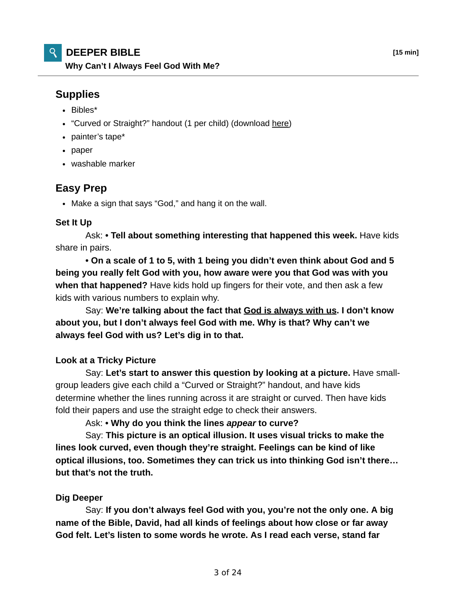# **DEEPER BIBLE [15 min]**

**Why Can't I Always Feel God With Me?**

## **Supplies**

- Bibles\*
- "Curved or Straight?" handout (1 per child) (download here)
- painter's tape\*
- paper
- washable marker

### **Easy Prep**

Make a sign that says "God," and hang it on the wall.

#### **Set It Up**

 Ask: **• Tell about something interesting that happened this week.** Have kids share in pairs.

**• On a scale of 1 to 5, with 1 being you didn't even think about God and 5 being you really felt God with you, how aware were you that God was with you when that happened?** Have kids hold up fingers for their vote, and then ask a few kids with various numbers to explain why.

 Say: **We're talking about the fact that God is always with us. I don't know about you, but I don't always feel God with me. Why is that? Why can't we always feel God with us? Let's dig in to that.**

#### **Look at a Tricky Picture**

 Say: **Let's start to answer this question by looking at a picture.** Have smallgroup leaders give each child a "Curved or Straight?" handout, and have kids determine whether the lines running across it are straight or curved. Then have kids fold their papers and use the straight edge to check their answers.

Ask: **• Why do you think the lines** *appear* **to curve?**

 Say: **This picture is an optical illusion. It uses visual tricks to make the lines look curved, even though they're straight. Feelings can be kind of like optical illusions, too. Sometimes they can trick us into thinking God isn't there… but that's not the truth.**

#### **Dig Deeper**

 Say: **If you don't always feel God with you, you're not the only one. A big name of the Bible, David, had all kinds of feelings about how close or far away God felt. Let's listen to some words he wrote. As I read each verse, stand far**